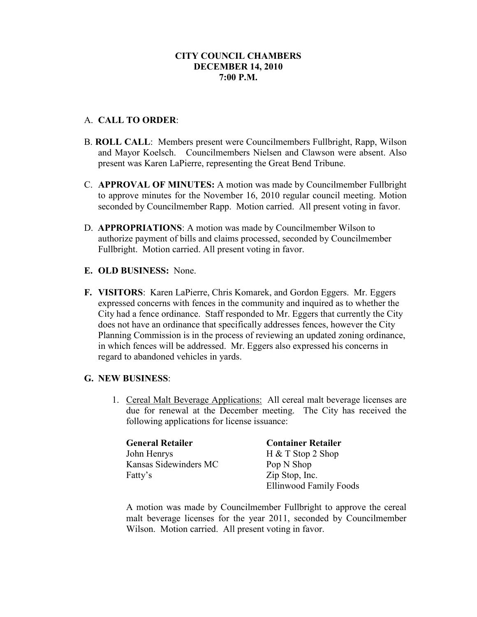# **CITY COUNCIL CHAMBERS DECEMBER 14, 2010 7:00 P.M.**

# A. **CALL TO ORDER**:

- B. **ROLL CALL**: Members present were Councilmembers Fullbright, Rapp, Wilson and Mayor Koelsch. Councilmembers Nielsen and Clawson were absent. Also present was Karen LaPierre, representing the Great Bend Tribune.
- C. **APPROVAL OF MINUTES:** A motion was made by Councilmember Fullbright to approve minutes for the November 16, 2010 regular council meeting. Motion seconded by Councilmember Rapp. Motion carried. All present voting in favor.
- D. **APPROPRIATIONS**: A motion was made by Councilmember Wilson to authorize payment of bills and claims processed, seconded by Councilmember Fullbright. Motion carried. All present voting in favor.
- **E. OLD BUSINESS:** None.
- **F. VISITORS**: Karen LaPierre, Chris Komarek, and Gordon Eggers. Mr. Eggers expressed concerns with fences in the community and inquired as to whether the City had a fence ordinance. Staff responded to Mr. Eggers that currently the City does not have an ordinance that specifically addresses fences, however the City Planning Commission is in the process of reviewing an updated zoning ordinance, in which fences will be addressed. Mr. Eggers also expressed his concerns in regard to abandoned vehicles in yards.

### **G. NEW BUSINESS**:

1. Cereal Malt Beverage Applications: All cereal malt beverage licenses are due for renewal at the December meeting. The City has received the following applications for license issuance:

| <b>General Retailer</b> | <b>Container Retailer</b> |
|-------------------------|---------------------------|
| John Henrys             | $H & T$ Stop 2 Shop       |
| Kansas Sidewinders MC   | Pop N Shop                |
| Fatty's                 | Zip Stop, Inc.            |
|                         | Ellinwood Family Foods    |

A motion was made by Councilmember Fullbright to approve the cereal malt beverage licenses for the year 2011, seconded by Councilmember Wilson. Motion carried. All present voting in favor.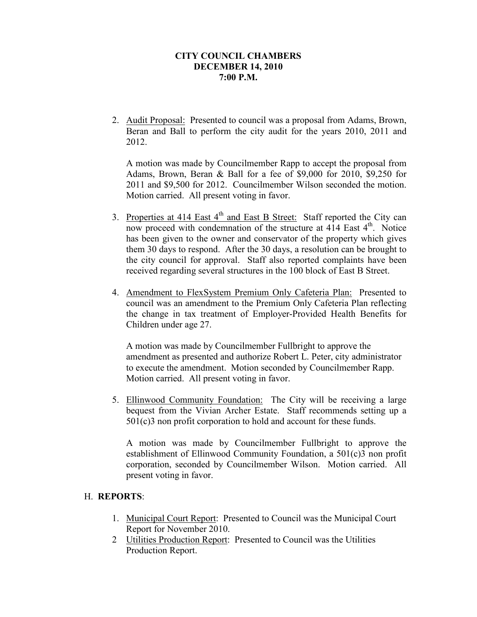## **CITY COUNCIL CHAMBERS DECEMBER 14, 2010 7:00 P.M.**

2. Audit Proposal: Presented to council was a proposal from Adams, Brown, Beran and Ball to perform the city audit for the years 2010, 2011 and 2012.

A motion was made by Councilmember Rapp to accept the proposal from Adams, Brown, Beran & Ball for a fee of \$9,000 for 2010, \$9,250 for 2011 and \$9,500 for 2012. Councilmember Wilson seconded the motion. Motion carried. All present voting in favor.

- 3. Properties at 414 East  $4<sup>th</sup>$  and East B Street: Staff reported the City can now proceed with condemnation of the structure at 414 East 4<sup>th</sup>. Notice has been given to the owner and conservator of the property which gives them 30 days to respond. After the 30 days, a resolution can be brought to the city council for approval. Staff also reported complaints have been received regarding several structures in the 100 block of East B Street.
- 4. Amendment to FlexSystem Premium Only Cafeteria Plan: Presented to council was an amendment to the Premium Only Cafeteria Plan reflecting the change in tax treatment of Employer-Provided Health Benefits for Children under age 27.

A motion was made by Councilmember Fullbright to approve the amendment as presented and authorize Robert L. Peter, city administrator to execute the amendment. Motion seconded by Councilmember Rapp. Motion carried. All present voting in favor.

5. Ellinwood Community Foundation: The City will be receiving a large bequest from the Vivian Archer Estate. Staff recommends setting up a 501(c)3 non profit corporation to hold and account for these funds.

A motion was made by Councilmember Fullbright to approve the establishment of Ellinwood Community Foundation, a 501(c)3 non profit corporation, seconded by Councilmember Wilson. Motion carried. All present voting in favor.

### H. **REPORTS**:

- 1. Municipal Court Report: Presented to Council was the Municipal Court Report for November 2010.
- 2 Utilities Production Report: Presented to Council was the Utilities Production Report.